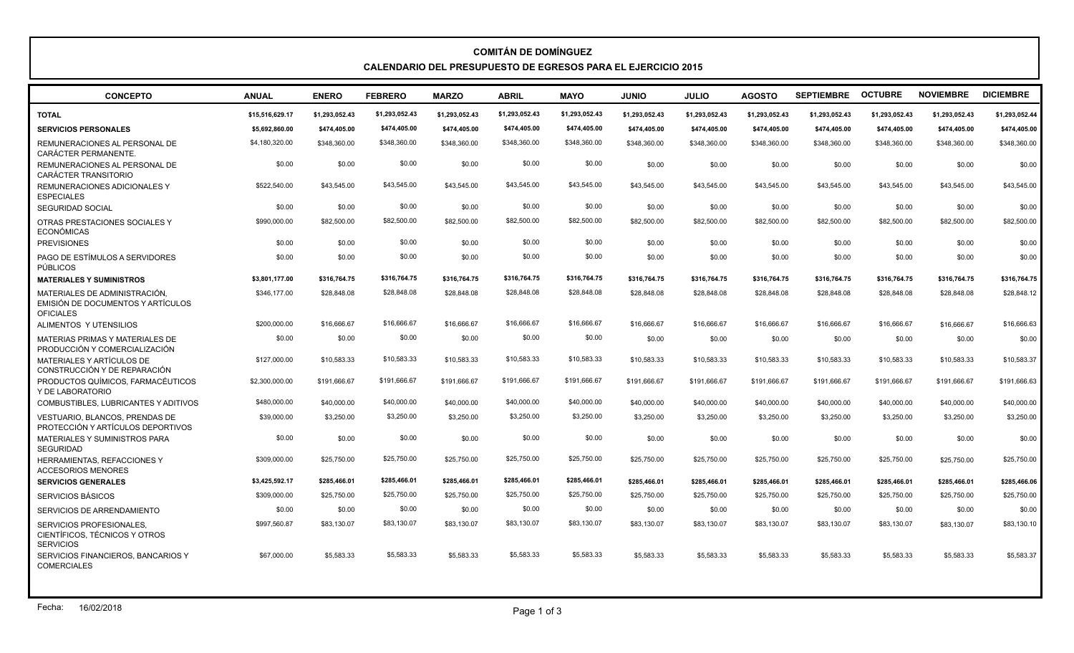## **COMITÁN DE DOMÍNGUEZ CALENDARIO DEL PRESUPUESTO DE EGRESOS PARA EL EJERCICIO 2015**

| <b>CONCEPTO</b>                                                                        | <b>ANUAL</b>    | <b>ENERO</b>   | <b>FEBRERO</b> | <b>MARZO</b>   | <b>ABRIL</b>   | <b>MAYO</b>    | <b>JUNIO</b>   | <b>JULIO</b>   | <b>AGOSTO</b>  | <b>SEPTIEMBRE</b> | <b>OCTUBRE</b> | <b>NOVIEMBRE</b> | <b>DICIEMBRE</b> |
|----------------------------------------------------------------------------------------|-----------------|----------------|----------------|----------------|----------------|----------------|----------------|----------------|----------------|-------------------|----------------|------------------|------------------|
| <b>TOTAL</b>                                                                           | \$15,516,629.17 | \$1.293.052.43 | \$1,293,052.43 | \$1.293.052.43 | \$1,293,052.43 | \$1,293,052.43 | \$1.293.052.43 | \$1,293,052.43 | \$1.293.052.43 | \$1,293,052.43    | \$1,293,052.43 | \$1,293,052.43   | \$1,293,052.44   |
| <b>SERVICIOS PERSONALES</b>                                                            | \$5,692,860.00  | \$474,405.00   | \$474,405.00   | \$474,405.00   | \$474.405.00   | \$474.405.00   | \$474,405.00   | \$474,405.00   | \$474,405.00   | \$474,405.00      | \$474,405.00   | \$474,405.00     | \$474,405.00     |
| REMUNERACIONES AL PERSONAL DE<br>CARÁCTER PERMANENTE.                                  | \$4,180,320.00  | \$348,360.00   | \$348,360.00   | \$348,360.00   | \$348,360.00   | \$348,360.00   | \$348,360.00   | \$348,360.00   | \$348,360.00   | \$348,360.00      | \$348,360.00   | \$348,360.00     | \$348,360.00     |
| REMUNERACIONES AL PERSONAL DE<br>CARÁCTER TRANSITORIO                                  | \$0.00          | \$0.00         | \$0.00         | \$0.00         | \$0.00         | \$0.00         | \$0.00         | \$0.00         | \$0.00         | \$0.00            | \$0.00         | \$0.00           | \$0.00           |
| REMUNERACIONES ADICIONALES Y<br><b>ESPECIALES</b>                                      | \$522,540.00    | \$43.545.00    | \$43,545.00    | \$43.545.00    | \$43,545.00    | \$43,545.00    | \$43,545,00    | \$43,545,00    | \$43.545.00    | \$43.545.00       | \$43,545.00    | \$43,545.00      | \$43,545.00      |
| <b>SEGURIDAD SOCIAL</b>                                                                | \$0.00          | \$0.00         | \$0.00         | \$0.00         | \$0.00         | \$0.00         | \$0.00         | \$0.00         | \$0.00         | \$0.00            | \$0.00         | \$0.00           | \$0.00           |
| OTRAS PRESTACIONES SOCIALES Y<br><b>ECONÓMICAS</b>                                     | \$990,000.00    | \$82,500.00    | \$82,500.00    | \$82,500.00    | \$82,500.00    | \$82,500.00    | \$82,500.00    | \$82,500.00    | \$82,500.00    | \$82,500.00       | \$82,500.00    | \$82,500.00      | \$82,500.00      |
| <b>PREVISIONES</b>                                                                     | \$0.00          | \$0.00         | \$0.00         | \$0.00         | \$0.00         | \$0.00         | \$0.00         | \$0.00         | \$0.00         | \$0.00            | \$0.00         | \$0.00           | \$0.00           |
| PAGO DE ESTÍMULOS A SERVIDORES<br>PÚBLICOS                                             | \$0.00          | \$0.00         | \$0.00         | \$0.00         | \$0.00         | \$0.00         | \$0.00         | \$0.00         | \$0.00         | \$0.00            | \$0.00         | \$0.00           | \$0.00           |
| <b>MATERIALES Y SUMINISTROS</b>                                                        | \$3.801.177.00  | \$316.764.75   | \$316,764.75   | \$316,764.75   | \$316.764.75   | \$316,764.75   | \$316.764.75   | \$316,764.75   | \$316,764.75   | \$316,764.75      | \$316.764.75   | \$316.764.75     | \$316,764.75     |
| MATERIALES DE ADMINISTRACIÓN.<br>EMISIÓN DE DOCUMENTOS Y ARTÍCULOS<br><b>OFICIALES</b> | \$346,177.00    | \$28,848.08    | \$28,848.08    | \$28,848.08    | \$28,848.08    | \$28,848.08    | \$28,848,08    | \$28,848.08    | \$28,848.08    | \$28,848.08       | \$28,848.08    | \$28,848.08      | \$28,848.12      |
| ALIMENTOS Y UTENSILIOS                                                                 | \$200,000.00    | \$16,666,67    | \$16,666.67    | \$16.666.67    | \$16,666,67    | \$16,666,67    | \$16,666.67    | \$16,666.67    | \$16,666.67    | \$16,666.67       | \$16,666.67    | \$16,666,67      | \$16,666,63      |
| MATERIAS PRIMAS Y MATERIALES DE<br>PRODUCCIÓN Y COMERCIALIZACIÓN                       | \$0.00          | \$0.00         | \$0.00         | \$0.00         | \$0.00         | \$0.00         | \$0.00         | \$0.00         | \$0.00         | \$0.00            | \$0.00         | \$0.00           | \$0.00           |
| MATERIALES Y ARTÍCULOS DE<br>CONSTRUCCIÓN Y DE REPARACIÓN                              | \$127,000.00    | \$10,583.33    | \$10,583.33    | \$10,583.33    | \$10,583.33    | \$10,583.33    | \$10,583,33    | \$10,583,33    | \$10,583.33    | \$10,583.33       | \$10,583.33    | \$10,583.33      | \$10,583.37      |
| PRODUCTOS QUÍMICOS, FARMACÉUTICOS<br>Y DE LABORATORIO                                  | \$2,300,000.00  | \$191,666.67   | \$191,666.67   | \$191,666.67   | \$191,666.67   | \$191,666.67   | \$191,666,67   | \$191,666,67   | \$191,666.67   | \$191,666.67      | \$191.666.67   | \$191,666.67     | \$191,666.63     |
| COMBUSTIBLES, LUBRICANTES Y ADITIVOS                                                   | \$480,000.00    | \$40,000.00    | \$40,000.00    | \$40,000.00    | \$40,000.00    | \$40,000.00    | \$40,000.00    | \$40,000.00    | \$40,000.00    | \$40,000.00       | \$40,000.00    | \$40,000.00      | \$40,000.00      |
| <b>VESTUARIO. BLANCOS. PRENDAS DE</b><br>PROTECCIÓN Y ARTÍCULOS DEPORTIVOS             | \$39,000.00     | \$3,250.00     | \$3,250.00     | \$3,250.00     | \$3,250.00     | \$3,250.00     | \$3,250,00     | \$3,250.00     | \$3,250.00     | \$3,250.00        | \$3,250.00     | \$3,250.00       | \$3,250.00       |
| MATERIALES Y SUMINISTROS PARA<br><b>SEGURIDAD</b>                                      | \$0.00          | \$0.00         | \$0.00         | \$0.00         | \$0.00         | \$0.00         | \$0.00         | \$0.00         | \$0.00         | \$0.00            | \$0.00         | \$0.00           | \$0.00           |
| HERRAMIENTAS, REFACCIONES Y<br><b>ACCESORIOS MENORES</b>                               | \$309,000.00    | \$25,750.00    | \$25,750.00    | \$25,750.00    | \$25,750.00    | \$25,750.00    | \$25,750,00    | \$25,750.00    | \$25,750.00    | \$25,750.00       | \$25,750.00    | \$25,750.00      | \$25,750.00      |
| <b>SERVICIOS GENERALES</b>                                                             | \$3,425,592.17  | \$285.466.01   | \$285,466.01   | \$285,466.01   | \$285,466.01   | \$285,466.01   | \$285,466.01   | \$285,466.01   | \$285,466.01   | \$285,466.01      | \$285,466.01   | \$285,466.01     | \$285,466.06     |
| <b>SERVICIOS BÁSICOS</b>                                                               | \$309,000.00    | \$25,750.00    | \$25,750.00    | \$25,750.00    | \$25,750.00    | \$25,750.00    | \$25,750.00    | \$25,750.00    | \$25,750.00    | \$25,750.00       | \$25,750.00    | \$25,750.00      | \$25,750.00      |
| SERVICIOS DE ARRENDAMIENTO                                                             | \$0.00          | \$0.00         | \$0.00         | \$0.00         | \$0.00         | \$0.00         | \$0.00         | \$0.00         | \$0.00         | \$0.00            | \$0.00         | \$0.00           | \$0.00           |
| SERVICIOS PROFESIONALES.<br>CIENTÍFICOS. TÉCNICOS Y OTROS<br><b>SERVICIOS</b>          | \$997,560.87    | \$83,130.07    | \$83,130.07    | \$83.130.07    | \$83,130.07    | \$83.130.07    | \$83,130,07    | \$83,130.07    | \$83,130.07    | \$83.130.07       | \$83,130.07    | \$83,130,07      | \$83,130.10      |
| SERVICIOS FINANCIEROS, BANCARIOS Y<br><b>COMERCIALES</b>                               | \$67,000.00     | \$5.583.33     | \$5,583.33     | \$5.583.33     | \$5,583.33     | \$5,583.33     | \$5,583,33     | \$5.583.33     | \$5.583.33     | \$5.583.33        | \$5,583,33     | \$5.583.33       | \$5,583,37       |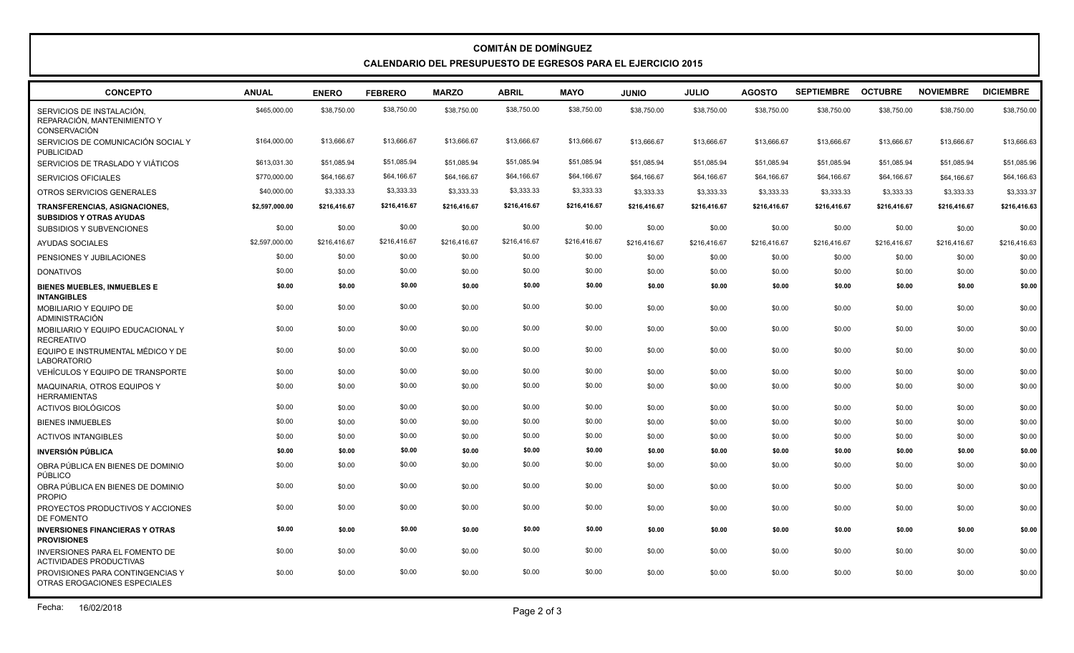## **COMITÁN DE DOMÍNGUEZ CALENDARIO DEL PRESUPUESTO DE EGRESOS PARA EL EJERCICIO 2015**

| <b>CONCEPTO</b>                                                          | <b>ANUAL</b>   | <b>ENERO</b> | <b>FEBRERO</b> | <b>MARZO</b> | <b>ABRIL</b> | <b>MAYO</b>  | <b>JUNIO</b> | <b>JULIO</b> | <b>AGOSTO</b> | <b>SEPTIEMBRE</b> | <b>OCTUBRE</b> | <b>NOVIEMBRE</b> | <b>DICIEMBRE</b> |
|--------------------------------------------------------------------------|----------------|--------------|----------------|--------------|--------------|--------------|--------------|--------------|---------------|-------------------|----------------|------------------|------------------|
| SERVICIOS DE INSTALACIÓN.<br>REPARACIÓN. MANTENIMIENTO Y<br>CONSERVACIÓN | \$465,000.00   | \$38,750.00  | \$38,750.00    | \$38,750.00  | \$38,750.00  | \$38,750.00  | \$38,750.00  | \$38,750.00  | \$38,750.00   | \$38,750.00       | \$38,750.00    | \$38,750.00      | \$38,750.00      |
| SERVICIOS DE COMUNICACIÓN SOCIAL Y<br>PUBLICIDAD                         | \$164,000.00   | \$13,666.67  | \$13,666.67    | \$13,666.67  | \$13,666.67  | \$13,666.67  | \$13,666.67  | \$13,666.67  | \$13,666.67   | \$13,666.67       | \$13,666.67    | \$13,666.67      | \$13,666.63      |
| SERVICIOS DE TRASLADO Y VIÁTICOS                                         | \$613,031.30   | \$51,085.94  | \$51,085.94    | \$51,085.94  | \$51,085.94  | \$51,085.94  | \$51,085.94  | \$51,085.94  | \$51,085.94   | \$51,085.94       | \$51,085.94    | \$51,085.94      | \$51,085.96      |
| <b>SERVICIOS OFICIALES</b>                                               | \$770,000.00   | \$64,166.67  | \$64,166.67    | \$64,166.67  | \$64,166.67  | \$64,166.67  | \$64,166.67  | \$64,166.67  | \$64,166.67   | \$64,166.67       | \$64,166.67    | \$64,166.67      | \$64,166.63      |
| OTROS SERVICIOS GENERALES                                                | \$40,000.00    | \$3,333.33   | \$3,333.33     | \$3,333.33   | \$3,333.33   | \$3,333.33   | \$3,333.33   | \$3,333.33   | \$3,333.33    | \$3,333.33        | \$3,333.33     | \$3,333.33       | \$3,333.37       |
| TRANSFERENCIAS, ASIGNACIONES,<br><b>SUBSIDIOS Y OTRAS AYUDAS</b>         | \$2,597,000.00 | \$216,416.67 | \$216,416.67   | \$216,416.67 | \$216,416.67 | \$216,416.67 | \$216,416.67 | \$216,416.67 | \$216,416.67  | \$216,416.67      | \$216,416.67   | \$216,416.67     | \$216,416.63     |
| SUBSIDIOS Y SUBVENCIONES                                                 | \$0.00         | \$0.00       | \$0.00         | \$0.00       | \$0.00       | \$0.00       | \$0.00       | \$0.00       | \$0.00        | \$0.00            | \$0.00         | \$0.00           | \$0.00           |
| <b>AYUDAS SOCIALES</b>                                                   | \$2,597,000.00 | \$216.416.67 | \$216,416.67   | \$216.416.67 | \$216,416.67 | \$216,416.67 | \$216.416.67 | \$216,416.67 | \$216,416.67  | \$216,416.67      | \$216,416.67   | \$216,416.67     | \$216,416.63     |
| PENSIONES Y JUBILACIONES                                                 | \$0.00         | \$0.00       | \$0.00         | \$0.00       | \$0.00       | \$0.00       | \$0.00       | \$0.00       | \$0.00        | \$0.00            | \$0.00         | \$0.00           | \$0.00           |
| <b>DONATIVOS</b>                                                         | \$0.00         | \$0.00       | \$0.00         | \$0.00       | \$0.00       | \$0.00       | \$0.00       | \$0.00       | \$0.00        | \$0.00            | \$0.00         | \$0.00           | \$0.00           |
| <b>BIENES MUEBLES, INMUEBLES E</b><br><b>INTANGIBLES</b>                 | \$0.00         | \$0.00       | \$0.00         | \$0.00       | \$0.00       | \$0.00       | \$0.00       | \$0.00       | \$0.00        | \$0.00            | \$0.00         | \$0.00           | \$0.00           |
| <b>MOBILIARIO Y EQUIPO DE</b><br><b>ADMINISTRACIÓN</b>                   | \$0.00         | \$0.00       | \$0.00         | \$0.00       | \$0.00       | \$0.00       | \$0.00       | \$0.00       | \$0.00        | \$0.00            | \$0.00         | \$0.00           | \$0.00           |
| MOBILIARIO Y EQUIPO EDUCACIONAL Y<br><b>RECREATIVO</b>                   | \$0.00         | \$0.00       | \$0.00         | \$0.00       | \$0.00       | \$0.00       | \$0.00       | \$0.00       | \$0.00        | \$0.00            | \$0.00         | \$0.00           | \$0.00           |
| EQUIPO E INSTRUMENTAL MÉDICO Y DE<br><b>LABORATORIO</b>                  | \$0.00         | \$0.00       | \$0.00         | \$0.00       | \$0.00       | \$0.00       | \$0.00       | \$0.00       | \$0.00        | \$0.00            | \$0.00         | \$0.00           | \$0.00           |
| VEHÍCULOS Y EQUIPO DE TRANSPORTE                                         | \$0.00         | \$0.00       | \$0.00         | \$0.00       | \$0.00       | \$0.00       | \$0.00       | \$0.00       | \$0.00        | \$0.00            | \$0.00         | \$0.00           | \$0.00           |
| MAQUINARIA, OTROS EQUIPOS Y<br><b>HERRAMIENTAS</b>                       | \$0.00         | \$0.00       | \$0.00         | \$0.00       | \$0.00       | \$0.00       | \$0.00       | \$0.00       | \$0.00        | \$0.00            | \$0.00         | \$0.00           | \$0.00           |
| <b>ACTIVOS BIOLÓGICOS</b>                                                | \$0.00         | \$0.00       | \$0.00         | \$0.00       | \$0.00       | \$0.00       | \$0.00       | \$0.00       | \$0.00        | \$0.00            | \$0.00         | \$0.00           | \$0.00           |
| <b>BIENES INMUEBLES</b>                                                  | \$0.00         | \$0.00       | \$0.00         | \$0.00       | \$0.00       | \$0.00       | \$0.00       | \$0.00       | \$0.00        | \$0.00            | \$0.00         | \$0.00           | \$0.00           |
| <b>ACTIVOS INTANGIBLES</b>                                               | \$0.00         | \$0.00       | \$0.00         | \$0.00       | \$0.00       | \$0.00       | \$0.00       | \$0.00       | \$0.00        | \$0.00            | \$0.00         | \$0.00           | \$0.00           |
| <b>INVERSIÓN PÚBLICA</b>                                                 | \$0.00         | \$0.00       | \$0.00         | \$0.00       | \$0.00       | \$0.00       | \$0.00       | \$0.00       | \$0.00        | \$0.00            | \$0.00         | \$0.00           | \$0.00           |
| OBRA PÚBLICA EN BIENES DE DOMINIO<br>PÚBLICO                             | \$0.00         | \$0.00       | \$0.00         | \$0.00       | \$0.00       | \$0.00       | \$0.00       | \$0.00       | \$0.00        | \$0.00            | \$0.00         | \$0.00           | \$0.00           |
| OBRA PÚBLICA EN BIENES DE DOMINIO<br><b>PROPIO</b>                       | \$0.00         | \$0.00       | \$0.00         | \$0.00       | \$0.00       | \$0.00       | \$0.00       | \$0.00       | \$0.00        | \$0.00            | \$0.00         | \$0.00           | \$0.00           |
| PROYECTOS PRODUCTIVOS Y ACCIONES<br>DE FOMENTO                           | \$0.00         | \$0.00       | \$0.00         | \$0.00       | \$0.00       | \$0.00       | \$0.00       | \$0.00       | \$0.00        | \$0.00            | \$0.00         | \$0.00           | \$0.00           |
| <b>INVERSIONES FINANCIERAS Y OTRAS</b><br><b>PROVISIONES</b>             | \$0.00         | \$0.00       | \$0.00         | \$0.00       | \$0.00       | \$0.00       | \$0.00       | \$0.00       | \$0.00        | \$0.00            | \$0.00         | \$0.00           | \$0.00           |
| <b>INVERSIONES PARA EL FOMENTO DE</b><br><b>ACTIVIDADES PRODUCTIVAS</b>  | \$0.00         | \$0.00       | \$0.00         | \$0.00       | \$0.00       | \$0.00       | \$0.00       | \$0.00       | \$0.00        | \$0.00            | \$0.00         | \$0.00           | \$0.00           |
| PROVISIONES PARA CONTINGENCIAS Y<br>OTRAS EROGACIONES ESPECIALES         | \$0.00         | \$0.00       | \$0.00         | \$0.00       | \$0.00       | \$0.00       | \$0.00       | \$0.00       | \$0.00        | \$0.00            | \$0.00         | \$0.00           | \$0.00           |